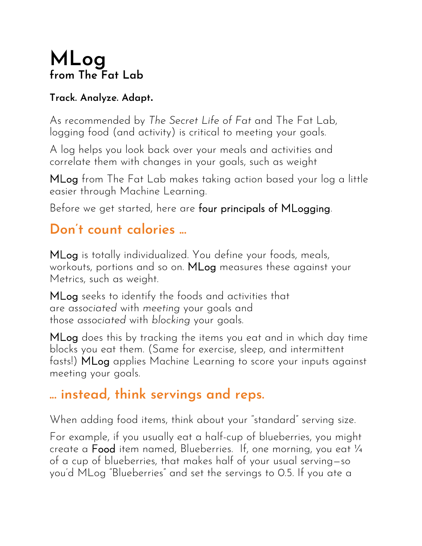# **MLog from The Fat Lab**

#### **Track. Analyze. Adapt.**

As recommended by *The Secret Life of Fat* and The Fat Lab, logging food (and activity) is critical to meeting your goals.

A log helps you look back over your meals and activities and correlate them with changes in your goals, such as weight

MLog from The Fat Lab makes taking action based your log a little easier through Machine Learning.

Before we get started, here are four principals of MLogging.

#### **Don't count calories ...**

MLog is totally individualized. You define your foods, meals, workouts, portions and so on. MLog measures these against your Metrics, such as weight.

MLog seeks to identify the foods and activities that are *associated* with *meeting* your goals and those *associated* with *blocking* your goals.

MLog does this by tracking the items you eat and in which day time blocks you eat them. (Same for exercise, sleep, and intermittent fasts!) MLog applies Machine Learning to score your inputs against meeting your goals.

## **... instead, think servings and reps.**

When adding food items, think about your "standard" serving size.

For example, if you usually eat a half-cup of blueberries, you might create a Food item named, Blueberries. If, one morning, you eat ¼ of a cup of blueberries, that makes half of your usual serving—so you'd MLog "Blueberries" and set the servings to 0.5. If you ate a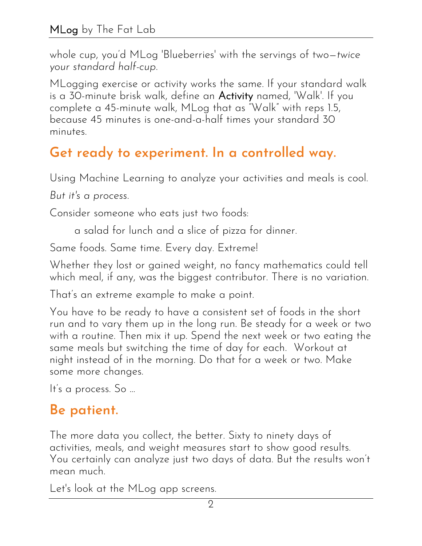whole cup, you'd MLog 'Blueberries' with the servings of two—*twice your standard half-cup*.

MLogging exercise or activity works the same. If your standard walk is a 30-minute brisk walk, define an Activity named, 'Walk'. If you complete a 45-minute walk, MLog that as "Walk" with reps 1.5, because 45 minutes is one-and-a-half times your standard 30 minutes.

#### **Get ready to experiment. In a controlled way.**

Using Machine Learning to analyze your activities and meals is cool.

*But it's a process.*

Consider someone who eats just two foods:

a salad for lunch and a slice of pizza for dinner.

Same foods. Same time. Every day. Extreme!

Whether they lost or gained weight, no fancy mathematics could tell which meal, if any, was the biggest contributor. There is no variation.

That's an extreme example to make a point.

You have to be ready to have a consistent set of foods in the short run and to vary them up in the long run. Be steady for a week or two with a routine. Then mix it up. Spend the next week or two eating the same meals but switching the time of day for each. Workout at night instead of in the morning. Do that for a week or two. Make some more changes.

It's a process. So ...

#### **Be patient.**

The more data you collect, the better. Sixty to ninety days of activities, meals, and weight measures start to show good results. You certainly can analyze just two days of data. But the results won't mean much.

Let's look at the MLog app screens.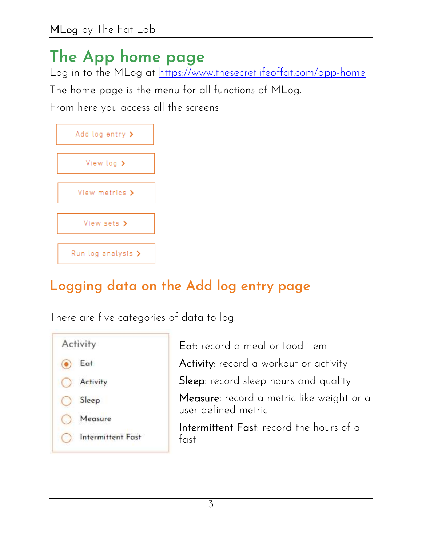# **The App home page**

Log in to the MLog at<https://www.thesecretlifeoffat.com/app-home>

The home page is the menu for all functions of MLog.

From here you access all the screens

| Add log entry >                |
|--------------------------------|
| View log $\blacktriangleright$ |
|                                |
| View metrics >                 |
| View sets >                    |
|                                |
| Run log analysis >             |

## **Logging data on the Add log entry page**

There are five categories of data to log.

| Activity          | Eat: record a meal or food item                                  |
|-------------------|------------------------------------------------------------------|
| Eat               | Activity: record a workout or activity                           |
| Activity          | Sleep: record sleep hours and quality                            |
| Sleep             | Measure: record a metric like weight or a<br>user-defined metric |
| Measure           | Intermittent Fast: record the hours of a                         |
| Intermittent Fast | fast                                                             |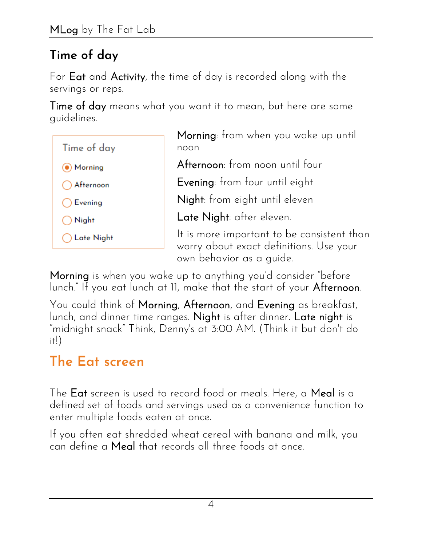#### **Time of day**

For Eat and Activity, the time of day is recorded along with the servings or reps.

Time of day means what you want it to mean, but here are some guidelines.



Morning: from when you wake up until noon

Afternoon: from noon until four

Evening: from four until eight

Night: from eight until eleven

Late Night: after eleven.

It is more important to be consistent than worry about exact definitions. Use your own behavior as a guide.

Morning is when you wake up to anything you'd consider "before lunch." If you eat lunch at 11, make that the start of your Afternoon.

You could think of Morning, Afternoon, and Evening as breakfast, lunch, and dinner time ranges. Night is after dinner. Late night is "midnight snack" Think, Denny's at 3:00 AM. (Think it but don't do  $it!)$ 

# **The Eat screen**

The Eat screen is used to record food or meals. Here, a Meal is a defined set of foods and servings used as a convenience function to enter multiple foods eaten at once.

If you often eat shredded wheat cereal with banana and milk, you can define a Meal that records all three foods at once.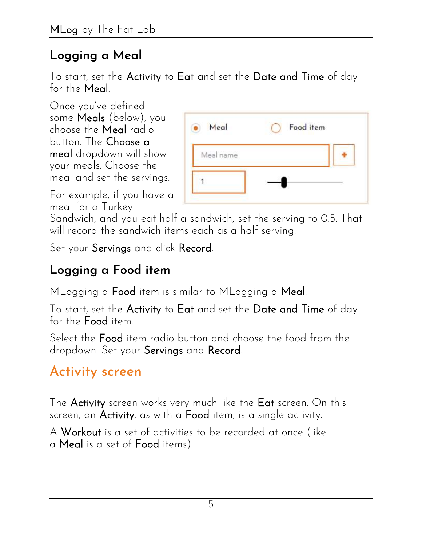#### **Logging a Meal**

To start, set the Activity to Eat and set the Date and Time of day for the Meal.

Once you've defined some Meals (below), you choose the Meal radio button. The Choose a meal dropdown will show your meals. Choose the meal and set the servings.

| Meal      | Food item |  |
|-----------|-----------|--|
| Meal name |           |  |
|           |           |  |

For example, if you have a meal for a Turkey

Sandwich, and you eat half a sandwich, set the serving to 0.5. That will record the sandwich items each as a half serving.

Set your Servings and click Record.

## **Logging a Food item**

MLogging a **Food** item is similar to MLogging a Meal.

To start, set the Activity to Eat and set the Date and Time of day for the Food item.

Select the Food item radio button and choose the food from the dropdown. Set your Servings and Record.

## **Activity screen**

The Activity screen works very much like the Eat screen. On this screen, an Activity, as with a Food item, is a single activity.

A Workout is a set of activities to be recorded at once (like a Meal is a set of Food items).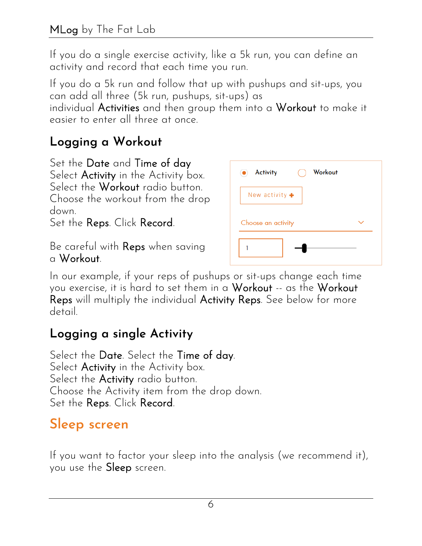If you do a single exercise activity, like a 5k run, you can define an activity and record that each time you run.

If you do a 5k run and follow that up with pushups and sit-ups, you can add all three (5k run, pushups, sit-ups) as

individual Activities and then group them into a Workout to make it easier to enter all three at once.

#### **Logging a Workout**

Set the Date and Time of day Select Activity in the Activity box. Select the **Workout** radio button. Choose the workout from the drop down.

Set the Reps. Click Record.

Be careful with Reps when saving a Workout.

| Activity<br>٠                | Workout |  |
|------------------------------|---------|--|
| New activity $\blacklozenge$ |         |  |
|                              |         |  |
| Choose an activity           |         |  |

In our example, if your reps of pushups or sit-ups change each time you exercise, it is hard to set them in a Workout -- as the Workout Reps will multiply the individual Activity Reps. See below for more detail.

#### **Logging a single Activity**

Select the Date. Select the Time of day. Select Activity in the Activity box. Select the **Activity** radio button. Choose the Activity item from the drop down. Set the Reps. Click Record.

## **Sleep screen**

If you want to factor your sleep into the analysis (we recommend it), you use the Sleep screen.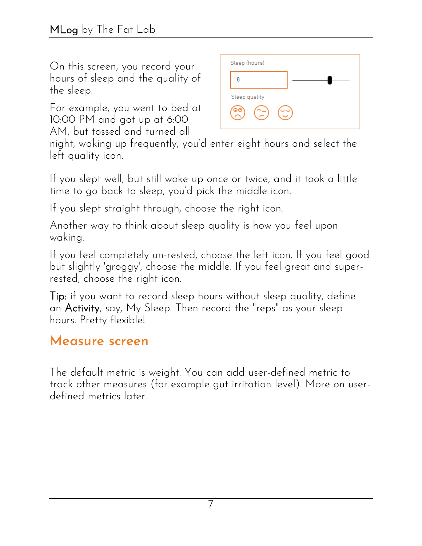On this screen, you record your hours of sleep and the quality of the sleep.

For example, you went to bed at 10:00 PM and got up at 6:00 AM, but tossed and turned all



night, waking up frequently, you'd enter eight hours and select the left quality icon.

If you slept well, but still woke up once or twice, and it took a little time to go back to sleep, you'd pick the middle icon.

If you slept straight through, choose the right icon.

Another way to think about sleep quality is how you feel upon waking.

If you feel completely un-rested, choose the left icon. If you feel good but slightly 'groggy', choose the middle. If you feel great and superrested, choose the right icon.

Tip: if you want to record sleep hours without sleep quality, define an Activity, say, My Sleep. Then record the "reps" as your sleep hours. Pretty flexible!

#### **Measure screen**

The default metric is weight. You can add user-defined metric to track other measures (for example gut irritation level). More on userdefined metrics later.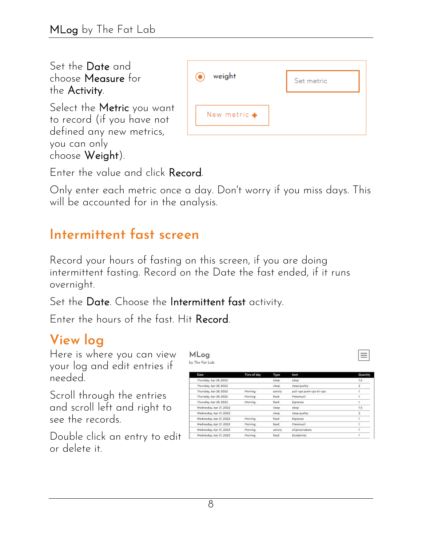Set the Date and choose Measure for the Activity.

Select the Metric you want to record (if you have not defined any new metrics, you can only choose Weight).

| weight<br>$\odot$      | Set metric |
|------------------------|------------|
| New metric $\clubsuit$ |            |

Enter the value and click Record.

Only enter each metric once a day. Don't worry if you miss days. This will be accounted for in the analysis.

#### **Intermittent fast screen**

Record your hours of fasting on this screen, if you are doing intermittent fasting. Record on the Date the fast ended, if it runs overnight.

Set the Date. Choose the Intermittent fast activity.

Enter the hours of the fast. Hit Record.

# **View log**

Here is where you can view your log and edit entries if needed.

Scroll through the entries and scroll left and right to see the records.

Double click an entry to edit 1 or delete it.

MLog by The Fat Lab

| Date                     | Time of day | Type:    | ttem                      | Quantity |
|--------------------------|-------------|----------|---------------------------|----------|
| Thursday, Apr 28, 2022   |             | sleep    | sleep.                    | 7.5      |
| Thursday, Apr 28, 2022   |             | sleep.   | sleep quality.            |          |
| Thursday, Apr 28, 2022   | Morning.    | activity | pull-ups push-ups sit-ups |          |
| Thursday, Apr 28, 2022   | Morning     | food     | Metamucil                 |          |
| Thursday, Apr 28, 2022   | Morning     | food     | Espresso                  |          |
| Wednesday, Apr 27, 2022  |             | sleep    | sleep                     | $7.5\,$  |
| Wednesday, Apr 27, 2022. |             | sleep.   | sleep quality.            |          |
| Wednesday, Apr 27, 2022  | Morning     | food     | Espresso                  |          |
| Wednesday, Apr 27, 2022  | Morning     | food     | Metamucil                 |          |
| Wednesday, Apr 27, 2022  | Morning     | activity | elliptical tabata         |          |
| Wednesday, Apr 27, 2022  | Morning     | food     | blueberries.              |          |
|                          |             |          |                           |          |

 $\equiv$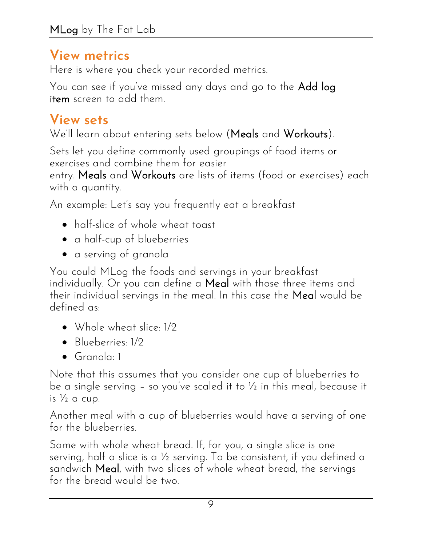#### **View metrics**

Here is where you check your recorded metrics.

You can see if you've missed any days and go to the Add log item screen to add them.

## **View sets**

We'll learn about entering sets below (Meals and Workouts).

Sets let you define commonly used groupings of food items or exercises and combine them for easier

entry. Meals and Workouts are lists of items (food or exercises) each with a quantity.

An example: Let's say you frequently eat a breakfast

- half-slice of whole wheat toast
- a half-cup of blueberries
- a serving of granola

You could MLog the foods and servings in your breakfast individually. Or you can define a Meal with those three items and their individual servings in the meal. In this case the Meal would be defined as:

- Whole wheat slice: 1/2
- Blueberries: 1/2
- Granola: 1

Note that this assumes that you consider one cup of blueberries to be a single serving – so you've scaled it to ½ in this meal, because it is  $\frac{1}{2}$  a cup.

Another meal with a cup of blueberries would have a serving of one for the blueberries.

Same with whole wheat bread. If, for you, a single slice is one serving, half a slice is a ½ serving. To be consistent, if you defined a sandwich Meal, with two slices of whole wheat bread, the servings for the bread would be two.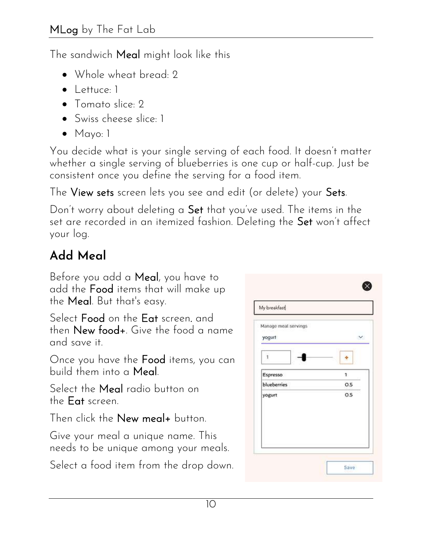The sandwich Meal might look like this

- Whole wheat bread: 2
- Lettuce: 1
- Tomato slice: 2
- Swiss cheese slice: 1
- Mayo: 1

You decide what is your single serving of each food. It doesn't matter whether a single serving of blueberries is one cup or half-cup. Just be consistent once you define the serving for a food item.

The View sets screen lets you see and edit (or delete) your Sets.

Don't worry about deleting a Set that you've used. The items in the set are recorded in an itemized fashion. Deleting the Set won't affect your log.

# **Add Meal**

Before you add a Meal, you have to add the Food items that will make up the Meal. But that's easy.

Select Food on the Eat screen. and then New food+. Give the food a name and save it.

Once you have the Food items, you can build them into a Meal.

Select the Meal radio button on the Eat screen.

Then click the New meal+ button.

Give your meal a unique name. This needs to be unique among your meals.

Select a food item from the drop down.

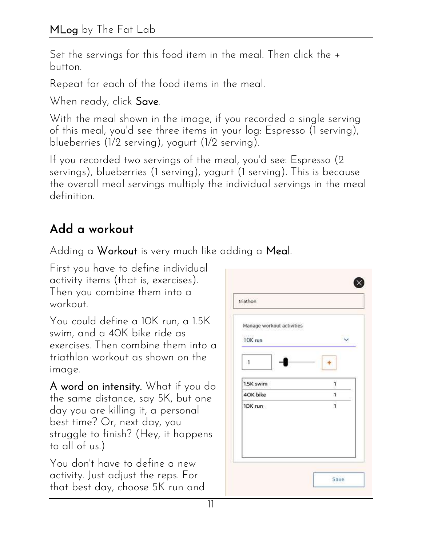Set the servings for this food item in the meal. Then click the + button.

Repeat for each of the food items in the meal.

When ready, click Save.

With the meal shown in the image, if you recorded a single serving of this meal, you'd see three items in your log: Espresso (1 serving), blueberries (1/2 serving), yogurt (1/2 serving).

If you recorded two servings of the meal, you'd see: Espresso (2 servings), blueberries (1 serving), yogurt (1 serving). This is because the overall meal servings multiply the individual servings in the meal definition.

#### **Add a workout**

Adding a Workout is very much like adding a Meal.

First you have to define individual activity items (that is, exercises). Then you combine them into a workout.

You could define a 10K run, a 1.5K swim, and a 40K bike ride as exercises. Then combine them into a triathlon workout as shown on the image.

A word on intensity. What if you do the same distance, say 5K, but one day you are killing it, a personal best time? Or, next day, you struggle to finish? (Hey, it happens to all of us.)

You don't have to define a new activity. Just adjust the reps. For that best day, choose 5K run and

| Manage workout activities |              |
|---------------------------|--------------|
| 10K run                   |              |
| $\mathbf{1}$              |              |
| 1.5K swim                 | Ŧ            |
| 4OK bike                  | 1            |
| 10K run                   | $\mathbf{1}$ |
|                           |              |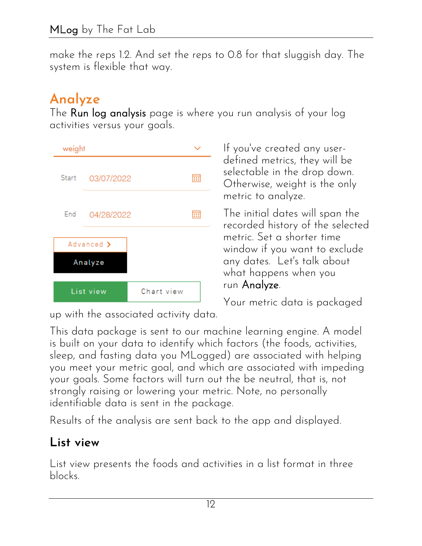make the reps 1.2. And set the reps to 0.8 for that sluggish day. The system is flexible that way.

## **Analyze**

The Run log analysis page is where you run analysis of your log activities versus your goals.



If you've created any userdefined metrics, they will be selectable in the drop down. Otherwise, weight is the only metric to analyze.

The initial dates will span the recorded history of the selected metric. Set a shorter time window if you want to exclude any dates. Let's talk about what happens when you run Analyze.

Your metric data is packaged

up with the associated activity data.

This data package is sent to our machine learning engine. A model is built on your data to identify which factors (the foods, activities, sleep, and fasting data you MLogged) are associated with helping you meet your metric goal, and which are associated with impeding your goals. Some factors will turn out the be neutral, that is, not strongly raising or lowering your metric. Note, no personally identifiable data is sent in the package.

Results of the analysis are sent back to the app and displayed.

#### **List view**

List view presents the foods and activities in a list format in three blocks.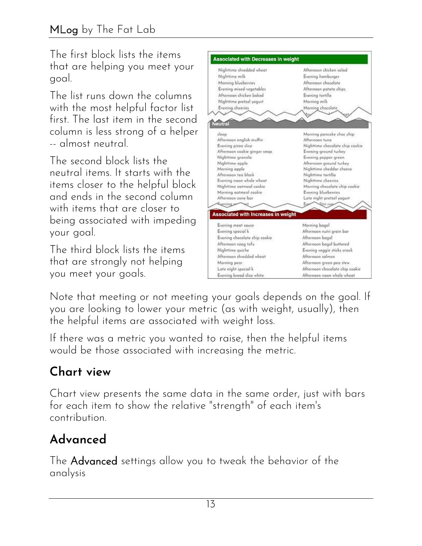The first block lists the items that are helping you meet your goal.

The list runs down the columns with the most helpful factor list first. The last item in the second column is less strong of a helper -- almost neutral.

The second block lists the neutral items. It starts with the items closer to the helpful block and ends in the second column with items that are closer to being associated with impeding your goal.

The third block lists the items that are strongly not helping you meet your goals.



Note that meeting or not meeting your goals depends on the goal. If you are looking to lower your metric (as with weight, usually), then the helpful items are associated with weight loss.

If there was a metric you wanted to raise, then the helpful items would be those associated with increasing the metric.

## **Chart view**

Chart view presents the same data in the same order, just with bars for each item to show the relative "strength" of each item's contribution.

#### **Advanced**

The Advanced settings allow you to tweak the behavior of the analysis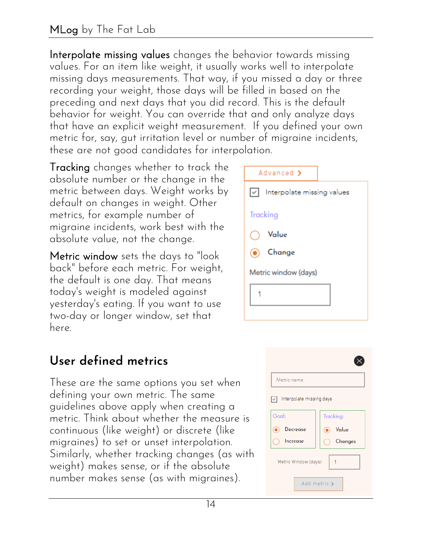#### MLog by The Fat Lab

Interpolate missing values changes the behavior towards missing values. For an item like weight, it usually works well to interpolate missing days measurements. That way, if you missed a day or three recording your weight, those days will be filled in based on the preceding and next days that you did record. This is the default behavior for weight. You can override that and only analyze days that have an explicit weight measurement. If you defined your own metric for, say, gut irritation level or number of migraine incidents, these are not good candidates for interpolation.

Tracking changes whether to track the absolute number or the change in the metric between days. Weight works by default on changes in weight. Other metrics, for example number of migraine incidents, work best with the absolute value, not the change.

Metric window sets the days to "look back" before each metric. For weight, the default is one day. That means today's weight is modeled against yesterday's eating. If you want to use two-day or longer window, set that here.



#### **User defined metrics**

These are the same options you set when defining your own metric. The same guidelines above apply when creating a metric. Think about whether the measure is continuous (like weight) or discrete (like migraines) to set or unset interpolation. Similarly, whether tracking changes (as with weight) makes sense, or if the absolute number makes sense (as with migraines).